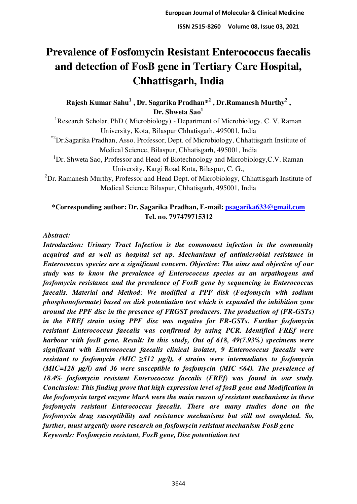# **Prevalence of Fosfomycin Resistant Enterococcus faecalis and detection of FosB gene in Tertiary Care Hospital, Chhattisgarh, India**

**Rajesh Kumar Sahu<sup>1</sup> , Dr. Sagarika Pradhan\*<sup>2</sup> , Dr.Ramanesh Murthy<sup>2</sup> , Dr. Shweta Sao<sup>1</sup>**

<sup>1</sup>Research Scholar, PhD (Microbiology) - Department of Microbiology, C. V. Raman University, Kota, Bilaspur Chhatisgarh, 495001, India

\*2Dr.Sagarika Pradhan, Asso. Professor, Dept. of Microbiology, Chhattisgarh Institute of Medical Science, Bilaspur, Chhatisgarh, 495001, India

<sup>1</sup>Dr. Shweta Sao, Professor and Head of Biotechnology and Microbiology, C.V. Raman University, Kargi Road Kota, Bilaspur, C. G.,

 $2Dr$ . Ramanesh Murthy, Professor and Head Dept. of Microbiology, Chhattisgarh Institute of Medical Science Bilaspur, Chhatisgarh, 495001, India

# **\*Corresponding author: Dr. Sagarika Pradhan, E-mail: [psagarika633@gmail.com](mailto:psagarika633@gmail.com)  Tel. no. 797479715312**

## *Abstract:*

*Introduction: Urinary Tract Infection is the commonest infection in the community acquired and as well as hospital set up. Mechanisms of antimicrobial resistance in Enterococcus species are a significant concern. Objective: The aims and objective of our study was to know the prevalence of Enterococcus species as an urpathogens and fosfomycin resistance and the prevalence of FosB gene by sequencing in Enterococcus faecalis. Material and Method: We modified a PPF disk (Fosfomycin with sodium phosphonoformate) based on disk potentiation test which is expanded the inhibition zone around the PPF disc in the presence of FRGST producers. The production of (FR-GSTs) in the FREf strain using PPF disc was negative for FR-GSTs. Further fosfomycin resistant Enterococcus faecalis was confirmed by using PCR. Identified FREf were harbour with fosB gene. Result: In this study, Out of 618, 49(7.93%) specimens were significant with Enterococcus faecalis clinical isolates, 9 Enterococcus faecalis were resistant to fosfomycin (MIC ≥512 µg/l), 4 strains were intermediates to fosfomycin (MIC=128 µg/l) and 36 were susceptible to fosfomycin (MIC ≤64). The prevalence of 18.4% fosfomycin resistant Enterococcus faecalis (FREf) was found in our study. Conclusion: This finding prove that high expression level of fosB gene and Modification in the fosfomycin target enzyme MurA were the main reason of resistant mechanisms in these fosfomycin resistant Enterococcus faecalis. There are many studies done on the fosfomycin drug susceptibility and resistance mechanisms but still not completed. So, further, must urgently more research on fosfomycin resistant mechanism FosB gene Keywords: Fosfomycin resistant, FosB gene, Disc potentiation test*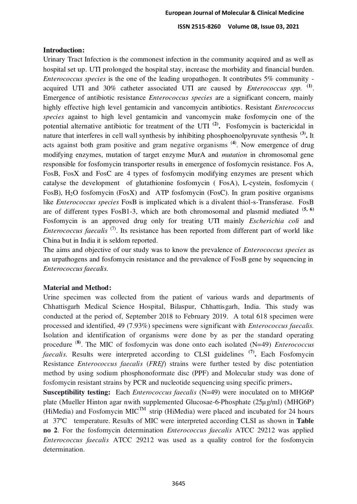## **Introduction:**

Urinary Tract Infection is the commonest infection in the community acquired and as well as hospital set up. UTI prolonged the hospital stay, increase the morbidity and financial burden. *Enterococcus species* is the one of the leading uropathogen. It contributes 5% community acquired UTI and 30% catheter associated UTI are caused by *Enterococcus spp*. <sup>(1)</sup>. Emergence of antibiotic resistance *Enterococcus species* are a significant concern, mainly highly effective high level gentamicin and vancomycin antibiotics. Resistant *Enterococcus species* against to high level gentamicin and vancomycin make fosfomycin one of the potential alternative antibiotic for treatment of the UTI **(2) .** Fosfomycin is bactericidal in nature that interferes in cell wall synthesis by inhibiting phosphoenolpyruvate synthesis **(3) .** It acts against both gram positive and gram negative organisms (**4**) . Now emergence of drug modifying enzymes, mutation of target enzyme MurA and *mutation* in chromosomal gene responsible for fosfomycin transporter results in emergence of fosfomycin resistance. Fos A, FosB, FosX and FosC are 4 types of fosfomycin modifying enzymes are present which catalyse the development of glutathionine fosfomycin ( FosA), L-cystein, fosfomycin ( FosB), H2O fosfomycin (FosX) and ATP fosfomycin (FosC). In gram positive organisms like *Enterococcus species* FosB is implicated which is a divalent thiol-s-Transferase. FosB are of different types FosB1-3, which are both chromosomal and plasmid mediated (**5, 6)** Fosfomycin is an approved drug only for treating UTI mainly *Escherichia coli* and *Enterococcus faecalis* <sup>(7)</sup>. Its resistance has been reported from different part of world like China but in India it is seldom reported.

The aims and objective of our study was to know the prevalence of *Enterococcus species* as an urpathogens and fosfomycin resistance and the prevalence of FosB gene by sequencing in *Enterococcus faecalis.*

## **Material and Method:**

Urine specimen was collected from the patient of various wards and departments of Chhattisgarh Medical Science Hospital, Bilaspur, Chhattisgarh, India. This study was conducted at the period of, September 2018 to February 2019. A total 618 specimen were processed and identified, 49 (7.93%) specimens were significant with *Enterococcus faecalis.*  Isolation and identification of organisms were done by as per the standard operating procedure (**8)**. The MIC of fosfomycin was done onto each isolated (N=49) *Enterococcus faecalis.* Results were interpreted according to CLSI guidelines **(7) .** Each Fosfomycin Resistance *Enterococcus faecalis* (*FREf*) strains were further tested by disc potentiation method by using sodium phosphonoformate disc (PPF) and Molecular study was done of fosfomycin resistant strains by PCR and nucleotide sequencing using specific primers**.** 

**Susceptibility testing:** Each *Enterococcus faecalis* (N=49) were inoculated on to MHG6P plate (Mueller Hinton agar nwith supplemented Glucosae-6-Phosphate (25µg/ml) (MHG6P) (HiMedia) and Fosfomycin MIC<sup>TM</sup> strip (HiMedia) were placed and incubated for 24 hours at 37ºC temperature. Results of MIC were interpreted according CLSI as shown in **Table no 2**. For the fosfomycin determination *Enterococcus faecalis* ATCC 29212 was applied *Enterococcus faecalis* ATCC 29212 was used as a quality control for the fosfomycin determination.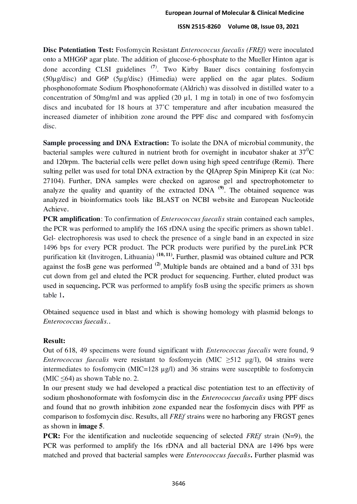**Disc Potentiation Test:** Fosfomycin Resistant *Enterococcus faecalis (FREf)* were inoculated onto a MHG6P agar plate. The addition of glucose-6-phosphate to the Mueller Hinton agar is done according CLSI guidelines **(7**) . Two Kirby Bauer discs containing fosfomycin (50µg/disc) and G6P (5µg/disc) (Himedia) were applied on the agar plates. Sodium phosphonoformate Sodium Phosphonoformate (Aldrich) was dissolved in distilled water to a concentration of  $50mg/ml$  and was applied (20 µl, 1 mg in total) in one of two fosfomycin discs and incubated for 18 hours at 37˚C temperature and after incubation measured the increased diameter of inhibition zone around the PPF disc and compared with fosfomycin disc.

**Sample processing and DNA Extraction:** To isolate the DNA of microbial community, the bacterial samples were cultured in nutrient broth for overnight in incubator shaker at  $37^0C$ and 120rpm. The bacterial cells were pellet down using high speed centrifuge (Remi). There sulting pellet was used for total DNA extraction by the QIAprep Spin Miniprep Kit (cat No: 27104). Further, DNA samples were checked on agarose gel and spectrophotometer to analyze the quality and quantity of the extracted DNA **(9)** . The obtained sequence was analyzed in bioinformatics tools like BLAST on NCBI website and European Nucleotide Achieve.

**PCR amplification**: To confirmation of *Enterococcus faecalis* strain contained each samples, the PCR was performed to amplify the 16S rDNA using the specific primers as shown table1. Gel- electrophoresis was used to check the presence of a single band in an expected in size 1496 bps for every PCR product. The PCR products were purified by the pureLink PCR purification kit (Invitrogen, Lithuania)<sup>(10, 11)</sup>. Further, plasmid was obtained culture and PCR against the fosB gene was performed <sup>(2)</sup>. Multiple bands are obtained and a band of 331 bps cut down from gel and eluted the PCR product for sequencing. Further, eluted product was used in sequencing**.** PCR was performed to amplify fosB using the specific primers as shown table 1**.**

Obtained sequence used in blast and which is showing homology with plasmid belongs to *Enterococcus faecalis.*.

## **Result:**

Out of 618, 49 specimens were found significant with *Enterococcus faecalis* were found, 9 *Enterococcus faecalis* were resistant to fosfomycin (MIC  $\geq$ 512 µg/l), 04 strains were intermediates to fosfomycin (MIC=128 µg/l) and 36 strains were susceptible to fosfomycin (MIC ≤64) as shown Table no. 2.

In our present study we had developed a practical disc potentiation test to an effectivity of sodium phoshonoformate with fosfomycin disc in the *Enterococcus faecalis* using PPF discs and found that no growth inhibition zone expanded near the fosfomycin discs with PPF as comparison to fosfomycin disc. Results, all *FREf* strains were no harboring any FRGST genes as shown in **image 5**.

**PCR:** For the identification and nucleotide sequencing of selected *FREf* strain (N=9), the PCR was performed to amplify the 16s rDNA and all bacterial DNA are 1496 bps were matched and proved that bacterial samples were *Enterococcus faecalis***.** Further plasmid was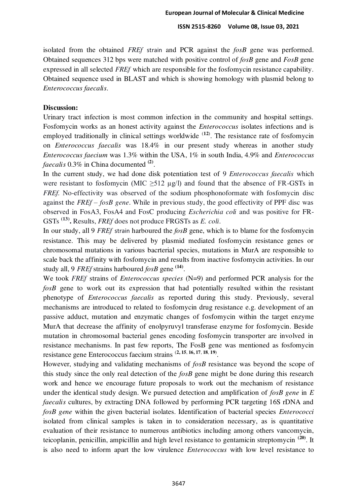isolated from the obtained *FREf* strain and PCR against the *fosB* gene was performed. Obtained sequences 312 bps were matched with positive control of *fosB* gene and *FosB* gene expressed in all selected *FREf* which are responsible for the fosfomycin resistance capability. Obtained sequence used in BLAST and which is showing homology with plasmid belong to *Enterococcus faecalis.*

## **Discussion:**

Urinary tract infection is most common infection in the community and hospital settings. Fosfomycin works as an honest activity against the *Enterococcus* isolates infections and is employed traditionally in clinical settings worldwide <sup>(12)</sup>. The resistance rate of fosfomycin on *Enterococcus faecalis* was 18.4% in our present study whereas in another study *Enterococcus faecium* was 1.3% within the USA, 1% in south India, 4.9% and *Enterococcus faecalis* 0.3% in China documented **(2)** .

In the current study, we had done disk potentiation test of 9 *Enterococcus faecalis* which were resistant to fosfomycin (MIC  $\geq$ 512 µg/l) and found that the absence of FR-GSTs in *FREf.* No-effectivity was observed of the sodium phosphonoformate with fosfomycin disc against the *FREf* – *fosB gene*. While in previous study, the good effectivity of PPF disc was observed in FosA3, FosA4 and FosC producing *Escherichia coli* and was positive for FR-GSTs **(13) .** Results, *FREf* does not produce FRGSTs as *E. coli.* 

In our study, all 9 *FREf* strain harboured the *fosB* gene, which is to blame for the fosfomycin resistance. This may be delivered by plasmid mediated fosfomycin resistance genes or chromosomal mutations in various bacrterial species, mutations in MurA are responsible to scale back the affinity with fosfomycin and results from inactive fosfomycin activities. In our study all, 9 *FREf* strains harboured *fosB* gene **(14)** .

We took *FREf* strains of *Enterococcus species* (N=9) and performed PCR analysis for the *fosB* gene to work out its expression that had potentially resulted within the resistant phenotype of *Enterococcus faecalis* as reported during this study. Previously, several mechanisms are introduced to related to fosfomycin drug resistance e.g. development of an passive adduct, mutation and enzymatic changes of fosfomycin within the target enzyme MurA that decrease the affinity of enolpyruvyl transferase enzyme for fosfomycin. Beside mutation in chromosomal bacterial genes encoding fosfomycin transporter are involved in resistance mechanisms. In past few reports, The FosB gene was mentioned as fosfomycin resistance gene Enterococcus faecium strains (**2, 15**, **16, 17**, **18**, **19**) .

However, studying and validating mechanisms of *fosB* resistance was beyond the scope of this study since the only real detection of the *fosB* gene might be done during this research work and hence we encourage future proposals to work out the mechanism of resistance under the identical study design. We pursued detection and amplification of *fosB gene* in *E faecalis* cultures, by extracting DNA followed by performing PCR targeting 16S rDNA and *fosB gene* within the given bacterial isolates. Identification of bacterial species *Enterococci* isolated from clinical samples is taken in to consideration necessary, as is quantitative evaluation of their resistance to numerous antibiotics including among others vancomycin, teicoplanin, penicillin, ampicillin and high level resistance to gentamicin streptomycin **(20)**. It is also need to inform apart the low virulence *Enterococcus* with low level resistance to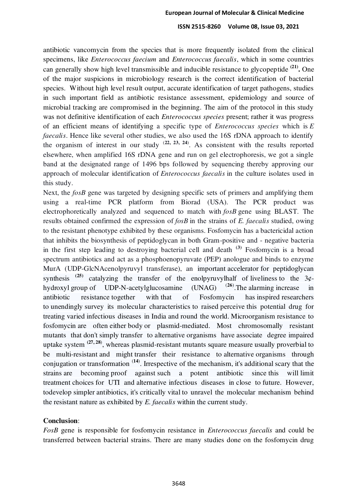antibiotic vancomycin from the species that is more frequently isolated from the clinical specimens, like *Enterococcus faecium* and *Enterococcus faecalis*, which in some countries can generally show high level transmissible and inducible resistance to glycopeptide **(21) .** One of the major suspicions in microbiology research is the correct identification of bacterial species. Without high level result output, accurate identification of target pathogens, studies in such important field as antibiotic resistance assessment, epidemiology and source of microbial tracking are compromised in the beginning. The aim of the protocol in this study was not definitive identification of each *Enterococcus species* present; rather it was progress of an efficient means of identifying a specific type of *Enterococcus species* which is *E faecalis*. Hence like several other studies, we also used the 16S rDNA approach to identify the organism of interest in our study  $(22, 23, 24)$ . As consistent with the results reported elsewhere, when amplified 16S rDNA gene and run on gel electrophoresis, we got a single band at the designated range of 1496 bps followed by sequencing thereby approving our approach of molecular identification of *Enterococcus faecalis* in the culture isolates used in this study.

Next, the *fosB* gene was targeted by designing specific sets of primers and amplifying them using a real-time PCR platform from Biorad (USA). The PCR product was electrophoretically analyzed and sequenced to match with *fosB* gene using BLAST. The results obtained confirmed the expression of *fosB* in the strains of *E. faecalis* studied, owing to the resistant phenotype exhibited by these organisms. Fosfomycin has a bactericidal action that inhibits the biosynthesis of peptidoglycan in both Gram-positive and - negative bacteria in the first step leading to destroying bacterial cell and death **(3)** Fosfomycin is a broad spectrum antibiotics and act as a phosphoenopyruvate (PEP) anologue and binds to enzyme MurA (UDP-GlcNAcenolpyruvyl transferase), an important accelerator for peptidoglycan synthesis  $(25)$  catalyzing the transfer of the enolpyruvylhalf of liveliness to the  $3\phi$ hydroxyl group of UDP-N-acetylglucosamine (UNAG) <sup>(26)</sup>. The alarming increase in antibiotic resistance together with that of Fosfomycin has inspired researchers to unendingly survey its molecular characteristics to raised perceive this potential drug for treating varied infectious diseases in India and round the world. Microorganism resistance to fosfomycin are often either body or plasmid-mediated. Most chromosomally resistant mutants that don't simply transfer to alternative organisms have associate degree impaired uptake system **(27, 28**) , whereas plasmid-resistant mutants square measure usually proverbial to be multi-resistant and might transfer their resistance to alternative organisms through conjugation or transformation (**14**) . Irrespective of the mechanism, it's additional scary that the strains are becoming proof against such a potent antibiotic since this will limit treatment choices for UTI and alternative infectious diseases in close to future. However, todevelop simpler antibiotics, it's critically vital to unravel the molecular mechanism behind the resistant nature as exhibited by *E. faecalis* within the current study.

## **Conclusion**:

*FosB* gene is responsible for fosfomycin resistance in *Enterococcus faecalis* and could be transferred between bacterial strains. There are many studies done on the fosfomycin drug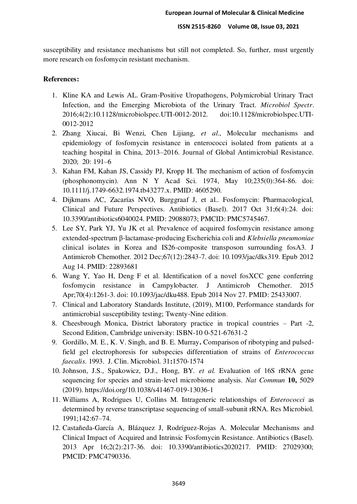susceptibility and resistance mechanisms but still not completed. So, further, must urgently more research on fosfomycin resistant mechanism.

## **References:**

- 1. Kline KA and Lewis AL. Gram-Positive Uropathogens, Polymicrobial Urinary Tract Infection, and the Emerging Microbiota of the Urinary Tract. *Microbiol Spectr*. 2016;4(2):10.1128/microbiolspec.UTI-0012-2012. doi:10.1128/microbiolspec.UTI-0012-2012
- 2. Zhang Xiucai, Bi Wenzi, Chen Lijiang, *et al*., Molecular mechanisms and epidemiology of fosfomycin resistance in enterococci isolated from patients at a teaching hospital in China, 2013–2016. Journal of Global Antimicrobial Resistance. 2020; 20: 191–6
- 3. Kahan FM, Kahan JS, Cassidy PJ, Kropp H. The mechanism of action of fosfomycin (phosphonomycin). Ann N Y Acad Sci. 1974, May 10;235(0):364-86. doi: 10.1111/j.1749-6632.1974.tb43277.x. PMID: 4605290.
- 4. Dijkmans AC, Zacarías NVO, Burggraaf J, et al.. Fosfomycin: Pharmacological, Clinical and Future Perspectives. Antibiotics (Basel). 2017 Oct 31;6(4):24. doi: 10.3390/antibiotics6040024. PMID: 29088073; PMCID: PMC5745467.
- 5. Lee SY, Park YJ, Yu JK et al. Prevalence of acquired fosfomycin resistance among extended-spectrum β-lactamase-producing Escherichia coli and *Klebsiella pneumoniae* clinical isolates in Korea and IS26-composite transposon surrounding fosA3. J Antimicrob Chemother. 2012 Dec;67(12):2843-7. doi: 10.1093/jac/dks319. Epub 2012 Aug 14. PMID: 22893681
- 6. Wang Y, Yao H, Deng F et al. Identification of a novel fosXCC gene conferring fosfomycin resistance in Campylobacter. J Antimicrob Chemother. 2015 Apr;70(4):1261-3. doi: 10.1093/jac/dku488. Epub 2014 Nov 27. PMID: 25433007.
- 7. Clinical and Laboratory Standards Institute, (2019), M100, Performance standards for antimicrobial susceptibility testing; Twenty-Nine edition.
- 8. Cheesbrough Monica, District laboratory practice in tropical countries Part -2, Second Edition, Cambridge university: ISBN-10 0-521-67631-2
- 9. Gordillo, M. E., K. V. Singh, and B. E. Murray**.** Comparison of ribotyping and pulsedfield gel electrophoresis for subspecies differentiation of strains of *Enterococcus faecalis.* 1993. J. Clin. Microbiol. 31**:**1570-1574
- 10. Johnson, J.S., Spakowicz, D.J., Hong, BY. *et al.* Evaluation of 16S rRNA gene sequencing for species and strain-level microbiome analysis. *Nat Commun* **10,** 5029 (2019).<https://doi.org/10.1038/s41467-019-13036-1>
- 11. Williams A, Rodrigues U, Collins M. Intrageneric relationships of *Enterococci* as determined by reverse transcriptase sequencing of small-subunit rRNA. Res Microbiol. 1991;142:67–74.
- 12. Castañeda-García A, Blázquez J, Rodríguez-Rojas A. Molecular Mechanisms and Clinical Impact of Acquired and Intrinsic Fosfomycin Resistance. Antibiotics (Basel). 2013 Apr 16;2(2):217-36. doi: 10.3390/antibiotics2020217. PMID: 27029300; PMCID: PMC4790336.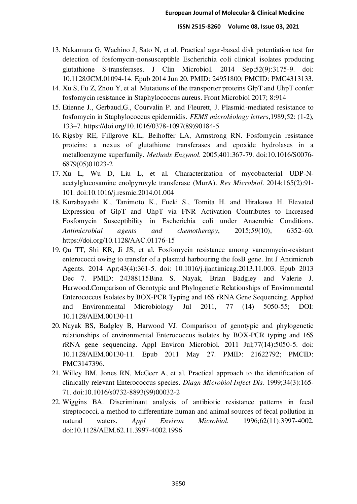- 13. Nakamura G, Wachino J, Sato N, et al. Practical agar-based disk potentiation test for detection of fosfomycin-nonsusceptible Escherichia coli clinical isolates producing glutathione S-transferases. J Clin Microbiol. 2014 Sep;52(9):3175-9. doi: 10.1128/JCM.01094-14. Epub 2014 Jun 20. PMID: 24951800; PMCID: PMC4313133.
- 14. Xu S, Fu Z, Zhou Y, et al. Mutations of the transporter proteins GlpT and UhpT confer fosfomycin resistance in Staphylococcus aureus. Front Microbiol 2017; 8:914
- 15. Etienne J., Gerbaud,G., Courvalin P. and Fleurett, J. Plasmid-mediated resistance to fosfomycin in Staphylococcus epidermidis. *FEMS microbiology letters*,1989;52: (1-2), 133–7. [https://doi.org/10.1016/0378-1097\(89\)90184-5](https://doi.org/10.1016/0378-1097(89)90184-5)
- 16. Rigsby RE, Fillgrove KL, Beihoffer LA, Armstrong RN. Fosfomycin resistance proteins: a nexus of glutathione transferases and epoxide hydrolases in a metalloenzyme superfamily. *Methods Enzymol*. 2005;401:367-79. doi:10.1016/S0076- 6879(05)01023-2
- 17. Xu L, Wu D, Liu L, et al. Characterization of mycobacterial UDP-Nacetylglucosamine enolpyruvyle transferase (MurA). *Res Microbiol*. 2014;165(2):91- 101. doi:10.1016/j.resmic.2014.01.004
- 18. Kurabayashi K., Tanimoto K., Fueki S., Tomita H. and Hirakawa H. Elevated Expression of GlpT and UhpT via FNR Activation Contributes to Increased Fosfomycin Susceptibility in Escherichia coli under Anaerobic Conditions. *Antimicrobial agents and chemotherapy*, 2015;*59*(10), 6352–60. https://doi.org/10.1128/AAC.01176-15
- 19. Qu TT, Shi KR, Ji JS, et al. Fosfomycin resistance among vancomycin-resistant enterococci owing to transfer of a plasmid harbouring the fosB gene. Int J Antimicrob Agents. 2014 Apr;43(4):361-5. doi: 10.1016/j.ijantimicag.2013.11.003. Epub 2013 Dec 7. PMID: 24388115Bina S. Nayak, Brian Badgley and Valerie J. Harwood.Comparison of Genotypic and Phylogenetic Relationships of Environmental Enterococcus Isolates by BOX-PCR Typing and 16S rRNA Gene Sequencing. Applied and Environmental Microbiology Jul 2011, 77 (14) 5050-55; DOI: 10.1128/AEM.00130-11
- 20. Nayak BS, Badgley B, Harwood VJ. Comparison of genotypic and phylogenetic relationships of environmental Enterococcus isolates by BOX-PCR typing and 16S rRNA gene sequencing. Appl Environ Microbiol. 2011 Jul;77(14):5050-5. doi: 10.1128/AEM.00130-11. Epub 2011 May 27. PMID: 21622792; PMCID: PMC3147396.
- 21. Willey BM, Jones RN, McGeer A, et al. Practical approach to the identification of clinically relevant Enterococcus species. *Diagn Microbiol Infect Dis*. 1999;34(3):165- 71. doi:10.1016/s0732-8893(99)00032-2
- 22. Wiggins BA. Discriminant analysis of antibiotic resistance patterns in fecal streptococci, a method to differentiate human and animal sources of fecal pollution in natural waters. *Appl Environ Microbiol*. 1996;62(11):3997-4002. doi:10.1128/AEM.62.11.3997-4002.1996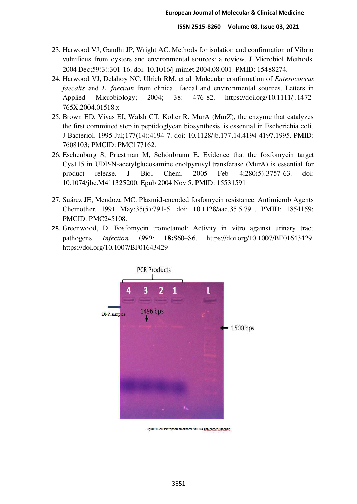- 23. Harwood VJ, Gandhi JP, Wright AC. Methods for isolation and confirmation of Vibrio vulnificus from oysters and environmental sources: a review. J Microbiol Methods. 2004 Dec;59(3):301-16. doi: 10.1016/j.mimet.2004.08.001. PMID: 15488274.
- 24. Harwood VJ, Delahoy NC, Ulrich RM, et al. Molecular confirmation of *Enterococcus faecalis* and *E. faecium* from clinical, faecal and environmental sources. Letters in Applied Microbiology; 2004; 38: 476-82. [https://doi.org/10.1111/j.1472-](https://doi.org/10.1111/j.1472-765X.2004.01518.x) [765X.2004.01518.x](https://doi.org/10.1111/j.1472-765X.2004.01518.x)
- 25. Brown ED, Vivas EI, Walsh CT, Kolter R. MurA (MurZ), the enzyme that catalyzes the first committed step in peptidoglycan biosynthesis, is essential in Escherichia coli. J Bacteriol. 1995 Jul;177(14):4194-7. doi: 10.1128/jb.177.14.4194-4197.1995. PMID: 7608103; PMCID: PMC177162.
- 26. Eschenburg S, Priestman M, Schönbrunn E. Evidence that the fosfomycin target Cys115 in UDP-N-acetylglucosamine enolpyruvyl transferase (MurA) is essential for product release. J Biol Chem. 2005 Feb 4;280(5):3757-63. doi: 10.1074/jbc.M411325200. Epub 2004 Nov 5. PMID: 15531591
- 27. Suárez JE, Mendoza MC. Plasmid-encoded fosfomycin resistance. Antimicrob Agents Chemother. 1991 May;35(5):791-5. doi: 10.1128/aac.35.5.791. PMID: 1854159; PMCID: PMC245108.
- 28. Greenwood, D. Fosfomycin trometamol: Activity in vitro against urinary tract pathogens. *Infection 1990;* **18:**S60–S6. [https://doi.org/10.1007/BF01643429.](https://doi.org/10.1007/BF01643429) <https://doi.org/10.1007/BF01643429>



Figure 1 Gel Electrophoresis of bacterial DNA Enterprocess faecalis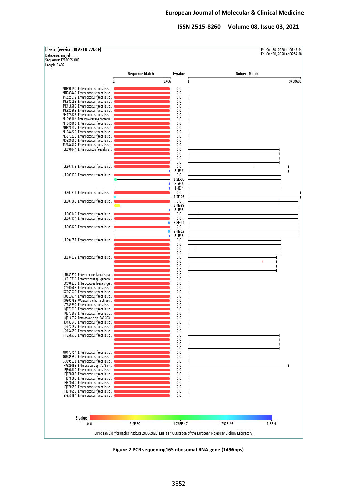#### **European Journal of Molecular & Clinical Medicine**

 **ISSN 2515-8260 Volume 08, Issue 03, 2021**



**Figure 2 PCR sequening16S ribosomal RNA gene (1496bps)**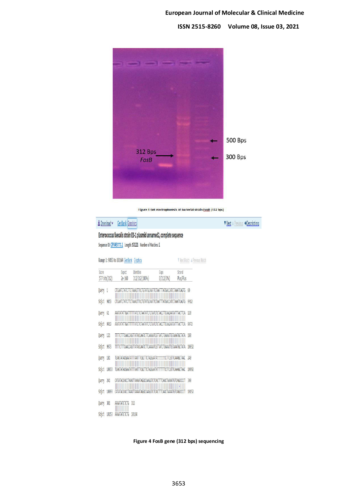

Figure 3 Gel electrophoresis of bacterial strain EosB (312 bps)

| Download v GenBank Graphics |  |  | V Next A Previs |  | Previous <b><i><u>Descriptions</u></i></b> |
|-----------------------------|--|--|-----------------|--|--------------------------------------------|
|-----------------------------|--|--|-----------------|--|--------------------------------------------|

# Enterococcus faecalis strain ES-1 plasmid unnamed2, complete sequence

Sequence ID: CP049777.1 Length: 53121 Number of Matches: 1

| Score         |       | Expect          | <b>Identities</b>                                            | Gaps                       | Strand                  |       |
|---------------|-------|-----------------|--------------------------------------------------------------|----------------------------|-------------------------|-------|
| 577 bits(312) |       | $2e-160$        | 312/312(100%)                                                | 0/312(0%)                  | Plus/Plus               |       |
| Query 1       |       |                 | CIGTATGCAATTCTAATT<br>TAAAC                                  | TATGACCAT                  | AAATCAGTG               | 60    |
| Sbjct 9853    |       |                 | CTCAATCTATCTTCTAAACTTCCTGTATGCAATTCTAATTTATGACCATCTAAATCAGTG |                            |                         | 9912  |
| Query         | 61    | AAATATA         | М<br>łΔ<br>Δ                                                 | TCAAGAA<br>AIT             | TA.                     | 120   |
| sbjct         | 9913  | AAATATATTGAT    | <b>TAATAT</b><br>TAT(<br>A                                   | TCAAGAATA<br><b>TCTACC</b> | TTCA<br>TTAC            | 9972  |
| Query         | 121   | ACC AG          |                                                              | TGAAA<br>4441 GH 4<br>16   | TATA<br><b>AAA166</b>   | 180   |
| sbjct         | 9973  | Ш               | TTTCAACCAGTTATACCAATCTTCAAAATCGTTATCTGAAATTGTAAATGCTATA      |                            |                         | 10032 |
| Query         | 181   | TGAGTATACGAAT   | TAGGAATA†<br>TG (                                            | TG I                       | TOMAGO<br>TAAC          | 740   |
| Sbjct         | 10033 |                 | TGAGTATACGAATATTTAATTTCGCTTCTAGGAATATT                       |                            | <b>TTCGTTCAAAGCTAAC</b> | 10092 |
| Query         | 241   |                 | TAAAATAGGCCAAGGT                                             | TCAAC                      | TAAAATGTCAGCC           | 300   |
| sbjct         | 10093 | CATATACCACCTAAA | TAAAATAGGCCAAGGT                                             |                            |                         | 10152 |
| Query         | 301   | AAAATATCTCTG    | 312                                                          |                            |                         |       |
| <b>Sbjct</b>  | 10153 | AAAATATCTCTG    | 10164                                                        |                            |                         |       |

**Figure 4 FosB gene (312 bps) sequencing**